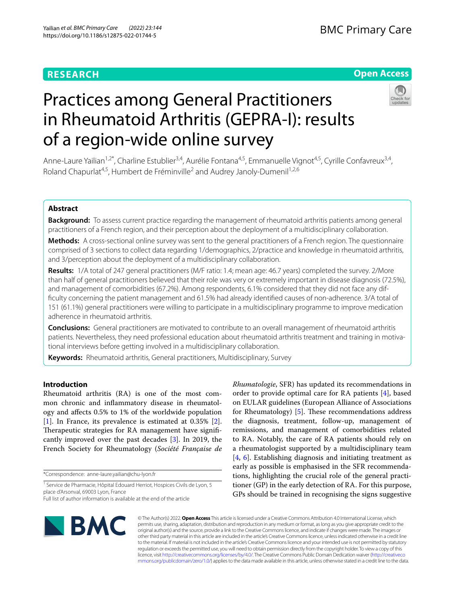# **RESEARCH**

# **Open Access**



# Practices among General Practitioners in Rheumatoid Arthritis (GEPRA-I): results of a region-wide online survey

Anne-Laure Yailian<sup>1,2\*</sup>, Charline Estublier<sup>3,4</sup>, Aurélie Fontana<sup>4,5</sup>, Emmanuelle Vignot<sup>4,5</sup>, Cyrille Confavreux<sup>3,4</sup>, Roland Chapurlat<sup>4,5</sup>, Humbert de Fréminville<sup>2</sup> and Audrey Janoly-Dumenil<sup>1,2,6</sup>

# **Abstract**

**Background:** To assess current practice regarding the management of rheumatoid arthritis patients among general practitioners of a French region, and their perception about the deployment of a multidisciplinary collaboration.

**Methods:** A cross-sectional online survey was sent to the general practitioners of a French region. The questionnaire comprised of 3 sections to collect data regarding 1/demographics, 2/practice and knowledge in rheumatoid arthritis, and 3/perception about the deployment of a multidisciplinary collaboration.

**Results:** 1/A total of 247 general practitioners (M/F ratio: 1.4; mean age: 46.7 years) completed the survey. 2/More than half of general practitioners believed that their role was very or extremely important in disease diagnosis (72.5%), and management of comorbidities (67.2%). Among respondents, 6.1% considered that they did not face any diffculty concerning the patient management and 61.5% had already identifed causes of non-adherence. 3/A total of 151 (61.1%) general practitioners were willing to participate in a multidisciplinary programme to improve medication adherence in rheumatoid arthritis.

**Conclusions:** General practitioners are motivated to contribute to an overall management of rheumatoid arthritis patients. Nevertheless, they need professional education about rheumatoid arthritis treatment and training in motivational interviews before getting involved in a multidisciplinary collaboration.

**Keywords:** Rheumatoid arthritis, General practitioners, Multidisciplinary, Survey

# **Introduction**

Rheumatoid arthritis (RA) is one of the most common chronic and infammatory disease in rheumatology and afects 0.5% to 1% of the worldwide population [[1\]](#page-7-0). In France, its prevalence is estimated at 0.35% [\[2](#page-7-1)]. Therapeutic strategies for RA management have significantly improved over the past decades [[3\]](#page-7-2). In 2019, the French Society for Rheumatology (*Société Française de* 

\*Correspondence: anne-laure.yailian@chu-lyon.fr

*Rhumatologie*, SFR) has updated its recommendations in order to provide optimal care for RA patients [[4](#page-7-3)], based on EULAR guidelines (European Alliance of Associations for Rheumatology)  $[5]$  $[5]$ . These recommendations address the diagnosis, treatment, follow-up, management of remissions, and management of comorbidities related to RA. Notably, the care of RA patients should rely on a rheumatologist supported by a multidisciplinary team [[4,](#page-7-3) [6](#page-7-5)]. Establishing diagnosis and initiating treatment as early as possible is emphasised in the SFR recommendations, highlighting the crucial role of the general practitioner (GP) in the early detection of RA. For this purpose, GPs should be trained in recognising the signs suggestive



© The Author(s) 2022. **Open Access** This article is licensed under a Creative Commons Attribution 4.0 International License, which permits use, sharing, adaptation, distribution and reproduction in any medium or format, as long as you give appropriate credit to the original author(s) and the source, provide a link to the Creative Commons licence, and indicate if changes were made. The images or other third party material in this article are included in the article's Creative Commons licence, unless indicated otherwise in a credit line to the material. If material is not included in the article's Creative Commons licence and your intended use is not permitted by statutory regulation or exceeds the permitted use, you will need to obtain permission directly from the copyright holder. To view a copy of this licence, visit [http://creativecommons.org/licenses/by/4.0/.](http://creativecommons.org/licenses/by/4.0/) The Creative Commons Public Domain Dedication waiver ([http://creativeco](http://creativecommons.org/publicdomain/zero/1.0/) [mmons.org/publicdomain/zero/1.0/](http://creativecommons.org/publicdomain/zero/1.0/)) applies to the data made available in this article, unless otherwise stated in a credit line to the data.

<sup>&</sup>lt;sup>1</sup> Service de Pharmacie, Hôpital Edouard Herriot, Hospices Civils de Lyon, 5 place d'Arsonval, 69003 Lyon, France

Full list of author information is available at the end of the article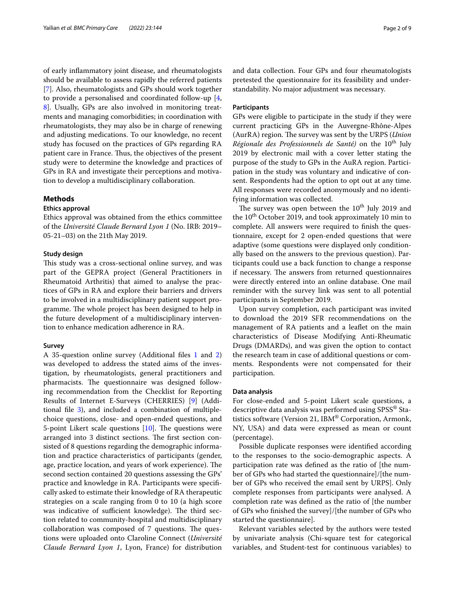of early infammatory joint disease, and rheumatologists should be available to assess rapidly the referred patients [[7\]](#page-8-0). Also, rheumatologists and GPs should work together to provide a personalised and coordinated follow-up [\[4](#page-7-3), [8\]](#page-8-1). Usually, GPs are also involved in monitoring treatments and managing comorbidities; in coordination with rheumatologists, they may also be in charge of renewing and adjusting medications. To our knowledge, no recent study has focused on the practices of GPs regarding RA patient care in France. Thus, the objectives of the present study were to determine the knowledge and practices of GPs in RA and investigate their perceptions and motivation to develop a multidisciplinary collaboration.

# **Methods**

#### **Ethics approval**

Ethics approval was obtained from the ethics committee of the *Université Claude Bernard Lyon 1* (No. IRB: 2019– 05-21–03) on the 21th May 2019.

# **Study design**

This study was a cross-sectional online survey, and was part of the GEPRA project (General Practitioners in Rheumatoid Arthritis) that aimed to analyse the practices of GPs in RA and explore their barriers and drivers to be involved in a multidisciplinary patient support programme. The whole project has been designed to help in the future development of a multidisciplinary intervention to enhance medication adherence in RA.

## **Survey**

A 35-question online survey (Additional fles [1](#page-7-6) and [2](#page-7-7)) was developed to address the stated aims of the investigation, by rheumatologists, general practitioners and pharmacists. The questionnaire was designed following recommendation from the Checklist for Reporting Results of Internet E-Surveys (CHERRIES) [\[9](#page-8-2)] (Additional file  $3$ ), and included a combination of multiplechoice questions, close- and open-ended questions, and 5-point Likert scale questions  $[10]$  $[10]$  $[10]$ . The questions were arranged into 3 distinct sections. The first section consisted of 8 questions regarding the demographic information and practice characteristics of participants (gender, age, practice location, and years of work experience). The second section contained 20 questions assessing the GPs' practice and knowledge in RA. Participants were specifcally asked to estimate their knowledge of RA therapeutic strategies on a scale ranging from 0 to 10 (a high score was indicative of sufficient knowledge). The third section related to community-hospital and multidisciplinary collaboration was composed of 7 questions. The questions were uploaded onto Claroline Connect (*Université Claude Bernard Lyon 1*, Lyon, France) for distribution and data collection. Four GPs and four rheumatologists pretested the questionnaire for its feasibility and understandability. No major adjustment was necessary.

# **Participants**

GPs were eligible to participate in the study if they were current practicing GPs in the Auvergne-Rhône-Alpes (AurRA) region. The survey was sent by the URPS (*Union*) *Régionale des Professionnels de Santé)* on the 10<sup>th</sup> July 2019 by electronic mail with a cover letter stating the purpose of the study to GPs in the AuRA region. Participation in the study was voluntary and indicative of consent. Respondents had the option to opt out at any time. All responses were recorded anonymously and no identifying information was collected.

The survey was open between the  $10^{th}$  July 2019 and the  $10^{th}$  October 2019, and took approximately 10 min to complete. All answers were required to fnish the questionnaire, except for 2 open-ended questions that were adaptive (some questions were displayed only conditionally based on the answers to the previous question). Participants could use a back function to change a response if necessary. The answers from returned questionnaires were directly entered into an online database. One mail reminder with the survey link was sent to all potential participants in September 2019.

Upon survey completion, each participant was invited to download the 2019 SFR recommendations on the management of RA patients and a leafet on the main characteristics of Disease Modifying Anti-Rheumatic Drugs (DMARDs), and was given the option to contact the research team in case of additional questions or comments. Respondents were not compensated for their participation.

#### **Data analysis**

For close-ended and 5-point Likert scale questions, a descriptive data analysis was performed using SPSS® Statistics software (Version 21, IBM® Corporation, Armonk, NY, USA) and data were expressed as mean or count (percentage).

Possible duplicate responses were identifed according to the responses to the socio-demographic aspects. A participation rate was defned as the ratio of [the number of GPs who had started the questionnaire]/[the number of GPs who received the email sent by URPS]. Only complete responses from participants were analysed. A completion rate was defned as the ratio of [the number of GPs who fnished the survey]/[the number of GPs who started the questionnaire].

Relevant variables selected by the authors were tested by univariate analysis (Chi-square test for categorical variables, and Student-test for continuous variables) to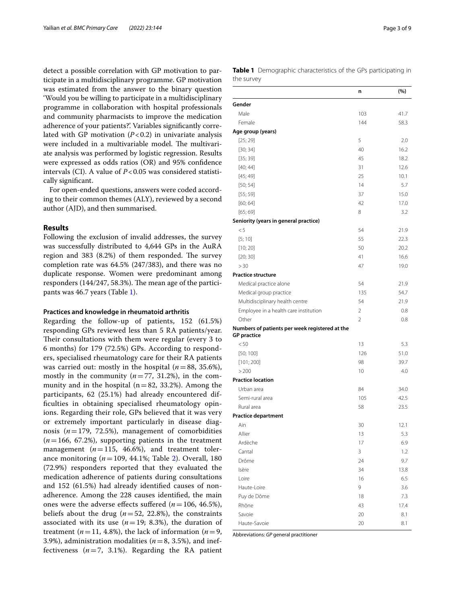detect a possible correlation with GP motivation to participate in a multidisciplinary programme. GP motivation was estimated from the answer to the binary question 'Would you be willing to participate in a multidisciplinary programme in collaboration with hospital professionals and community pharmacists to improve the medication adherence of your patients?'. Variables signifcantly correlated with GP motivation  $(P<0.2)$  in univariate analysis were included in a multivariable model. The multivariate analysis was performed by logistic regression. Results were expressed as odds ratios (OR) and 95% confdence intervals (CI). A value of  $P < 0.05$  was considered statistically signifcant.

For open-ended questions, answers were coded according to their common themes (ALY), reviewed by a second author (AJD), and then summarised.

# **Results**

Following the exclusion of invalid addresses, the survey was successfully distributed to 4,644 GPs in the AuRA region and  $383$   $(8.2%)$  of them responded. The survey completion rate was 64.5% (247/383), and there was no duplicate response. Women were predominant among responders  $(144/247, 58.3%)$ . The mean age of the participants was 46.7 years (Table [1](#page-2-0)).

#### **Practices and knowledge in rheumatoid arthritis**

Regarding the follow-up of patients, 152 (61.5%) responding GPs reviewed less than 5 RA patients/year. Their consultations with them were regular (every 3 to 6 months) for 179 (72.5%) GPs. According to responders, specialised rheumatology care for their RA patients was carried out: mostly in the hospital (*n*=88, 35.6%), mostly in the community  $(n=77, 31.2%)$ , in the community and in the hospital  $(n=82, 33.2%)$ . Among the participants, 62 (25.1%) had already encountered difficulties in obtaining specialised rheumatology opinions. Regarding their role, GPs believed that it was very or extremely important particularly in disease diagnosis  $(n=179, 72.5%)$ , management of comorbidities  $(n=166, 67.2%)$ , supporting patients in the treatment management  $(n=115, 46.6\%)$ , and treatment tolerance monitoring (*n*=109, 44.1%; Table [2](#page-3-0)). Overall, 180 (72.9%) responders reported that they evaluated the medication adherence of patients during consultations and 152 (61.5%) had already identifed causes of nonadherence. Among the 228 causes identifed, the main ones were the adverse effects suffered  $(n=106, 46.5\%)$ , beliefs about the drug ( $n=52$ , 22.8%), the constraints associated with its use  $(n=19; 8.3%)$ , the duration of treatment ( $n=11$ , 4.8%), the lack of information ( $n=9$ , 3.9%), administration modalities ( $n=8$ , 3.5%), and ineffectiveness  $(n=7, 3.1\%)$ . Regarding the RA patient <span id="page-2-0"></span>**Table 1** Demographic characteristics of the GPs participating in the survey

|                                                                      | n              | (%)  |
|----------------------------------------------------------------------|----------------|------|
| Gender                                                               |                |      |
| Male                                                                 | 103            | 41.7 |
| Female                                                               | 144            | 58.3 |
| Age group (years)                                                    |                |      |
| [25; 29]                                                             | 5              | 2.0  |
| [30; 34]                                                             | 40             | 16.2 |
| [35; 39]                                                             | 45             | 18.2 |
| [40; 44]                                                             | 31             | 12.6 |
| [45; 49]                                                             | 25             | 10.1 |
| [50; 54]                                                             | 14             | 5.7  |
| [55; 59]                                                             | 37             | 15.0 |
| [60; 64]                                                             | 42             | 17.0 |
| [65; 69]                                                             | 8              | 3.2  |
| Seniority (years in general practice)                                |                |      |
| < 5                                                                  | 54             | 21.9 |
| [5; 10]                                                              | 55             | 22.3 |
| [10; 20]                                                             | 50             | 20.2 |
| [20; 30]                                                             | 41             | 16.6 |
| > 30                                                                 | 47             | 19.0 |
| <b>Practice structure</b>                                            |                |      |
| Medical practice alone                                               | 54             | 21.9 |
| Medical group practice                                               | 135            | 54.7 |
| Multidisciplinary health centre                                      | 54             | 21.9 |
| Employee in a health care institution                                | 2              | 0.8  |
| Other                                                                | $\overline{2}$ | 0.8  |
| Numbers of patients per week registered at the<br><b>GP</b> practice |                |      |
| < 50                                                                 | 13             | 5.3  |
| [50; 100]                                                            | 126            | 51.0 |
| [101; 200]                                                           | 98             | 39.7 |
| > 200                                                                | 10             | 4.0  |
| <b>Practice location</b>                                             |                |      |
| Urban area                                                           | 84             | 34.0 |
| Semi-rural area                                                      | 105            | 42.5 |
| Rural area                                                           | 58             | 23.5 |
| <b>Practice department</b>                                           |                |      |
| Ain                                                                  | 30             | 12.1 |
| Allier                                                               | 13             | 5.3  |
| Ardèche                                                              | 17             | 6.9  |
| Cantal                                                               | 3              | 1.2  |
| Drôme                                                                | 24             | 9.7  |
| Isère                                                                | 34             | 13.8 |
| Loire                                                                | 16             | 6.5  |
| Haute-Loire                                                          | 9              | 3.6  |
| Puy de Dôme                                                          | 18             | 7.3  |
| Rhône                                                                | 43             | 17.4 |
| Savoie                                                               | 20             | 8.1  |
| Haute-Savoie                                                         | 20             | 8.1  |

Abbreviations: *GP* general practitioner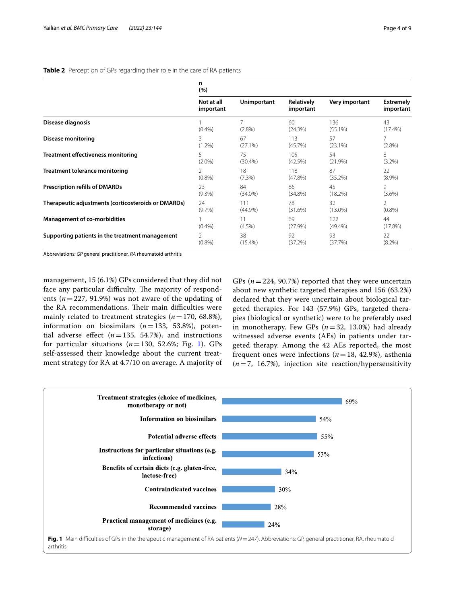<span id="page-3-0"></span>

|  |  |  | Table 2 Perception of GPs regarding their role in the care of RA patients |
|--|--|--|---------------------------------------------------------------------------|
|  |  |  |                                                                           |

|                                                     | n<br>(%)                |                    |                         |                   |                               |
|-----------------------------------------------------|-------------------------|--------------------|-------------------------|-------------------|-------------------------------|
|                                                     | Not at all<br>important | <b>Unimportant</b> | Relatively<br>important | Very important    | <b>Extremely</b><br>important |
| Disease diagnosis                                   | (0.4% )                 | 7<br>$(2.8\%)$     | 60<br>(24.3%)           | 136<br>$(55.1\%)$ | 43<br>$(17.4\%)$              |
| <b>Disease monitoring</b>                           | 3                       | 67                 | 113                     | 57                | 7                             |
|                                                     | $(1.2\%)$               | (27.1%)            | (45.7%)                 | $(23.1\%)$        | $(2.8\%)$                     |
| <b>Treatment effectiveness monitoring</b>           | 5.                      | 75                 | 105                     | 54                | 8                             |
|                                                     | $(2.0\%)$               | $(30.4\%)$         | (42.5%)                 | (21.9%)           | $(3.2\%)$                     |
| <b>Treatment tolerance monitoring</b>               | $\mathcal{P}$           | 18                 | 118                     | 87                | 22                            |
|                                                     | $(0.8\%)$               | $(7.3\%)$          | $(47.8\%)$              | (35.2%)           | $(8.9\%)$                     |
| <b>Prescription refills of DMARDs</b>               | 23                      | 84                 | 86                      | 45                | 9                             |
|                                                     | (9.3%)                  | $(34.0\%)$         | $(34.8\%)$              | (18.2%)           | $(3.6\%)$                     |
| Therapeutic adjustments (corticosteroids or DMARDs) | 24                      | 111                | 78                      | 32                | $\overline{2}$                |
|                                                     | $(9.7\%)$               | $(44.9\%)$         | (31.6%)                 | $(13.0\%)$        | $(0.8\%)$                     |
| <b>Management of co-morbidities</b>                 | (0.4% )                 | 11<br>$(4.5\%)$    | 69<br>(27.9%)           | 122<br>$(49.4\%)$ | 44<br>(17.8%)                 |
| Supporting patients in the treatment management     | 2                       | 38                 | 92                      | 93                | 22                            |
|                                                     | $(0.8\%)$               | $(15.4\%)$         | (37.2%)                 | (37.7%)           | $(8.2\%)$                     |

Abbreviations: *GP* general practitioner, *RA* rheumatoid arthritis

management, 15 (6.1%) GPs considered that they did not face any particular difficulty. The majority of respondents (*n*=227, 91.9%) was not aware of the updating of the RA recommendations. Their main difficulties were mainly related to treatment strategies  $(n=170, 68.8\%)$ , information on biosimilars (*n*=133, 53.8%), potential adverse effect  $(n=135, 54.7\%)$ , and instructions for particular situations  $(n=130, 52.6\%)$  $(n=130, 52.6\%)$  $(n=130, 52.6\%)$ ; Fig. 1). GPs self-assessed their knowledge about the current treatment strategy for RA at 4.7/10 on average. A majority of GPs  $(n=224, 90.7\%)$  reported that they were uncertain about new synthetic targeted therapies and 156 (63.2%) declared that they were uncertain about biological targeted therapies. For 143 (57.9%) GPs, targeted therapies (biological or synthetic) were to be preferably used in monotherapy. Few GPs (*n*=32, 13.0%) had already witnessed adverse events (AEs) in patients under targeted therapy. Among the 42 AEs reported, the most frequent ones were infections  $(n=18, 42.9%)$ , asthenia (*n*=7, 16.7%), injection site reaction/hypersensitivity

<span id="page-3-1"></span>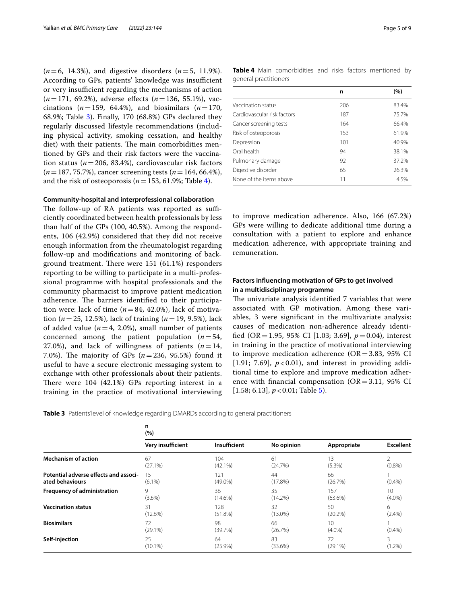(*n*=6, 14.3%), and digestive disorders (*n*=5, 11.9%). According to GPs, patients' knowledge was insufficient or very insufficient regarding the mechanisms of action (*n*=171, 69.2%), adverse efects (*n*=136, 55.1%), vaccinations  $(n=159, 64.4\%)$ , and biosimilars  $(n=170,$ 68.9%; Table [3](#page-4-0)). Finally, 170 (68.8%) GPs declared they regularly discussed lifestyle recommendations (including physical activity, smoking cessation, and healthy diet) with their patients. The main comorbidities mentioned by GPs and their risk factors were the vaccination status (*n*=206, 83.4%), cardiovascular risk factors (*n*=187, 75.7%), cancer screening tests (*n*=164, 66.4%), and the risk of osteoporosis ( $n=153, 61.9\%$ ; Table [4](#page-4-1)).

# **Community-hospital and interprofessional collaboration**

The follow-up of RA patients was reported as sufficiently coordinated between health professionals by less than half of the GPs (100, 40.5%). Among the respondents, 106 (42.9%) considered that they did not receive enough information from the rheumatologist regarding follow-up and modifcations and monitoring of background treatment. There were  $151$  (61.1%) responders reporting to be willing to participate in a multi-professional programme with hospital professionals and the community pharmacist to improve patient medication adherence. The barriers identified to their participation were: lack of time  $(n=84, 42.0\%)$ , lack of motivation (*n*=25, 12.5%), lack of training (*n*=19, 9.5%), lack of added value ( $n=4$ , 2.0%), small number of patients concerned among the patient population (*n*=54, 27.0%), and lack of willingness of patients  $(n=14,$ 7.0%). The majority of GPs  $(n=236, 95.5)$  found it useful to have a secure electronic messaging system to exchange with other professionals about their patients. There were  $104$  (42.1%) GPs reporting interest in a training in the practice of motivational interviewing

<span id="page-4-1"></span>

|                       | Table 4 Main comorbidities and risks factors mentioned by |  |  |  |
|-----------------------|-----------------------------------------------------------|--|--|--|
| general practitioners |                                                           |  |  |  |

|                             | n   | (%)   |
|-----------------------------|-----|-------|
| Vaccination status          | 206 | 83.4% |
| Cardiovascular risk factors | 187 | 75.7% |
| Cancer screening tests      | 164 | 66.4% |
| Risk of osteoporosis        | 153 | 61.9% |
| Depression                  | 101 | 40.9% |
| Oral health                 | 94  | 38.1% |
| Pulmonary damage            | 92  | 37.2% |
| Digestive disorder          | 65  | 26.3% |
| None of the items above     | 11  | 4.5%  |

to improve medication adherence. Also, 166 (67.2%) GPs were willing to dedicate additional time during a consultation with a patient to explore and enhance medication adherence, with appropriate training and remuneration.

# **Factors infuencing motivation of GPs to get involved in a multidisciplinary programme**

The univariate analysis identified 7 variables that were associated with GP motivation. Among these variables, 3 were signifcant in the multivariate analysis: causes of medication non-adherence already identifed (OR=1.95, 95% CI [1.03; 3.69], *p*=0.04), interest in training in the practice of motivational interviewing to improve medication adherence  $(OR = 3.83, 95\% \text{ CI})$ [1.91; 7.69],  $p < 0.01$ ], and interest in providing additional time to explore and improve medication adherence with financial compensation  $(OR = 3.11, 95\% \text{ CI})$ [1.58; 6.13], *p* < 0.01; Table [5](#page-5-0)).

<span id="page-4-0"></span>

|  |  | <b>Table 3</b> Patients' level of knowledge regarding DMARDs according to general practitioners |  |
|--|--|-------------------------------------------------------------------------------------------------|--|
|  |  |                                                                                                 |  |

|                                       | n<br>(%)          |               |               |                 |                  |
|---------------------------------------|-------------------|---------------|---------------|-----------------|------------------|
|                                       | Very insufficient | Insufficient  | No opinion    | Appropriate     | <b>Excellent</b> |
| <b>Mechanism of action</b>            | 67                | 104           | 61            | 13              | 2                |
|                                       | $(27.1\%)$        | $(42.1\%)$    | (24.7%)       | (5.3%)          | (0.8% )          |
| Potential adverse effects and associ- | 15                | 121           | 44            | 66              | (0.4% )          |
| ated behaviours                       | $(6.1\%)$         | $(49.0\%)$    | (17.8%)       | (26.7%)         |                  |
| <b>Frequency of administration</b>    | 9                 | 36            | 35            | 157             | 10 <sup>1</sup>  |
|                                       | $(3.6\%)$         | $(14.6\%)$    | $(14.2\%)$    | $(63.6\%)$      | $(4.0\%)$        |
| <b>Vaccination status</b>             | 31                | 128           | 32            | 50              | 6                |
|                                       | $(12.6\%)$        | $(51.8\%)$    | $(13.0\%)$    | $(20.2\%)$      | (2.4%)           |
| <b>Biosimilars</b>                    | 72<br>$(29.1\%)$  | 98<br>(39.7%) | 66<br>(26.7%) | 10<br>$(4.0\%)$ | (0.4% )          |
| Self-injection                        | 25                | 64            | 83            | 72              | 3                |
|                                       | $(10.1\%)$        | $(25.9\%)$    | $(33.6\%)$    | $(29.1\%)$      | $(1.2\%)$        |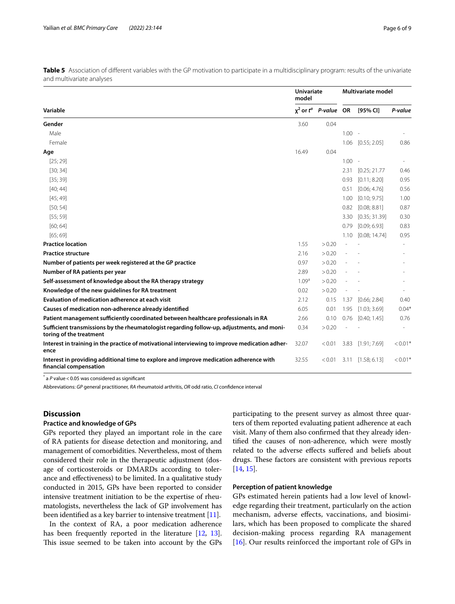|                                                                                                                       |                   | <b>Univariate</b><br>model |          | Multivariate model |                          |  |
|-----------------------------------------------------------------------------------------------------------------------|-------------------|----------------------------|----------|--------------------|--------------------------|--|
| Variable                                                                                                              | $x^2$ or $t^a$    | P-value OR                 |          | [95% CI]           | P-value                  |  |
| Gender                                                                                                                | 3.60              | 0.04                       |          |                    |                          |  |
| Male                                                                                                                  |                   |                            | $1.00 -$ |                    |                          |  |
| Female                                                                                                                |                   |                            | 1.06     | [0.55; 2.05]       | 0.86                     |  |
| Age                                                                                                                   | 16.49             | 0.04                       |          |                    |                          |  |
| [25; 29]                                                                                                              |                   |                            | 1.00     |                    |                          |  |
| [30; 34]                                                                                                              |                   |                            | 2.31     | [0.25; 21.77]      | 0.46                     |  |
| [35; 39]                                                                                                              |                   |                            | 0.93     | [0.11; 8.20]       | 0.95                     |  |
| [40; 44]                                                                                                              |                   |                            | 0.51     | [0.06; 4.76]       | 0.56                     |  |
| [45; 49]                                                                                                              |                   |                            | 1.00     | [0.10; 9.75]       | 1.00                     |  |
| [50; 54]                                                                                                              |                   |                            | 0.82     | [0.08; 8.81]       | 0.87                     |  |
| [55; 59]                                                                                                              |                   |                            | 3.30     | [0.35; 31.39]      | 0.30                     |  |
| [60; 64]                                                                                                              |                   |                            | 0.79     | [0.09; 6.93]       | 0.83                     |  |
| [65; 69]                                                                                                              |                   |                            | 1.10     | [0.08; 14.74]      | 0.95                     |  |
| <b>Practice location</b>                                                                                              | 1.55              | > 0.20                     |          |                    | $\overline{\phantom{a}}$ |  |
| <b>Practice structure</b>                                                                                             | 2.16              | > 0.20                     |          |                    |                          |  |
| Number of patients per week registered at the GP practice                                                             | 0.97              | > 0.20                     |          |                    |                          |  |
| Number of RA patients per year                                                                                        | 2.89              | > 0.20                     |          |                    |                          |  |
| Self-assessment of knowledge about the RA therapy strategy                                                            | 1.09 <sup>a</sup> | > 0.20                     |          |                    |                          |  |
| Knowledge of the new guidelines for RA treatment                                                                      | 0.02              | > 0.20                     |          |                    |                          |  |
| Evaluation of medication adherence at each visit                                                                      | 2.12              | 0.15                       | 1.37     | [0.66; 2.84]       | 0.40                     |  |
| Causes of medication non-adherence already identified                                                                 | 6.05              | 0.01                       | 1.95     | [1.03; 3.69]       | $0.04*$                  |  |
| Patient management sufficiently coordinated between healthcare professionals in RA                                    | 2.66              | 0.10                       | 0.76     | [0.40; 1.45]       | 0.76                     |  |
| Sufficient transmissions by the rheumatologist regarding follow-up, adjustments, and moni-<br>toring of the treatment | 0.34              | > 0.20                     |          |                    | $\sim$                   |  |
| Interest in training in the practice of motivational interviewing to improve medication adher-<br>ence                | 32.07             | < 0.01                     | 3.83     | [1.91; 7.69]       | $< 0.01$ <sup>*</sup>    |  |
| Interest in providing additional time to explore and improve medication adherence with<br>financial compensation      | 32.55             | < 0.01                     | 3.11     | [1.58; 6.13]       | $< 0.01$ <sup>*</sup>    |  |

<span id="page-5-0"></span>**Table 5** Association of different variables with the GP motivation to participate in a multidisciplinary program: results of the univariate and multivariate analyses

 $^*$  a  $P$  value < 0.05 was considered as significant

Abbreviations: *GP* general practitioner, *RA* rheumatoid arthritis, *OR* odd ratio, *CI* confdence interval

# **Discussion**

# **Practice and knowledge of GPs**

GPs reported they played an important role in the care of RA patients for disease detection and monitoring, and management of comorbidities. Nevertheless, most of them considered their role in the therapeutic adjustment (dosage of corticosteroids or DMARDs according to tolerance and efectiveness) to be limited. In a qualitative study conducted in 2015, GPs have been reported to consider intensive treatment initiation to be the expertise of rheumatologists, nevertheless the lack of GP involvement has been identifed as a key barrier to intensive treatment [\[11\]](#page-8-4).

In the context of RA, a poor medication adherence has been frequently reported in the literature [\[12,](#page-8-5) [13](#page-8-6)]. This issue seemed to be taken into account by the GPs participating to the present survey as almost three quarters of them reported evaluating patient adherence at each visit. Many of them also confrmed that they already identifed the causes of non-adherence, which were mostly related to the adverse efects sufered and beliefs about drugs. These factors are consistent with previous reports [[14](#page-8-7), [15](#page-8-8)].

# **Perception of patient knowledge**

GPs estimated herein patients had a low level of knowledge regarding their treatment, particularly on the action mechanism, adverse efects, vaccinations, and biosimilars, which has been proposed to complicate the shared decision-making process regarding RA management [[16\]](#page-8-9). Our results reinforced the important role of GPs in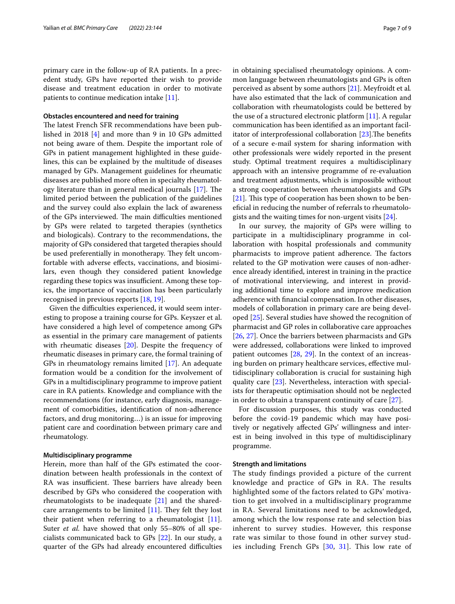primary care in the follow-up of RA patients. In a precedent study, GPs have reported their wish to provide disease and treatment education in order to motivate patients to continue medication intake [\[11](#page-8-4)].

#### **Obstacles encountered and need for training**

The latest French SFR recommendations have been published in 2018 [[4](#page-7-3)] and more than 9 in 10 GPs admitted not being aware of them. Despite the important role of GPs in patient management highlighted in these guidelines, this can be explained by the multitude of diseases managed by GPs. Management guidelines for rheumatic diseases are published more often in specialty rheumatology literature than in general medical journals  $[17]$  $[17]$  $[17]$ . The limited period between the publication of the guidelines and the survey could also explain the lack of awareness of the GPs interviewed. The main difficulties mentioned by GPs were related to targeted therapies (synthetics and biologicals). Contrary to the recommendations, the majority of GPs considered that targeted therapies should be used preferentially in monotherapy. They felt uncomfortable with adverse efects, vaccinations, and biosimilars, even though they considered patient knowledge regarding these topics was insufficient. Among these topics, the importance of vaccination has been particularly recognised in previous reports [[18,](#page-8-11) [19\]](#page-8-12).

Given the difficulties experienced, it would seem interesting to propose a training course for GPs. Keyszer et al. have considered a high level of competence among GPs as essential in the primary care management of patients with rheumatic diseases [[20](#page-8-13)]. Despite the frequency of rheumatic diseases in primary care, the formal training of GPs in rheumatology remains limited [\[17](#page-8-10)]. An adequate formation would be a condition for the involvement of GPs in a multidisciplinary programme to improve patient care in RA patients. Knowledge and compliance with the recommendations (for instance, early diagnosis, management of comorbidities, identifcation of non-adherence factors, and drug monitoring…) is an issue for improving patient care and coordination between primary care and rheumatology.

#### **Multidisciplinary programme**

Herein, more than half of the GPs estimated the coordination between health professionals in the context of RA was insufficient. These barriers have already been described by GPs who considered the cooperation with rheumatologists to be inadequate [[21\]](#page-8-14) and the sharedcare arrangements to be limited  $[11]$  $[11]$ . They felt they lost their patient when referring to a rheumatologist [\[11](#page-8-4)]. Suter *et al.* have showed that only 55–80% of all specialists communicated back to GPs [\[22\]](#page-8-15). In our study, a quarter of the GPs had already encountered difficulties in obtaining specialised rheumatology opinions. A common language between rheumatologists and GPs is often perceived as absent by some authors [\[21](#page-8-14)]. Meyfroidt et al*.* have also estimated that the lack of communication and collaboration with rheumatologists could be bettered by the use of a structured electronic platform [[11](#page-8-4)]. A regular communication has been identifed as an important facilitator of interprofessional collaboration  $[23]$  $[23]$ . The benefits of a secure e-mail system for sharing information with other professionals were widely reported in the present study. Optimal treatment requires a multidisciplinary approach with an intensive programme of re-evaluation and treatment adjustments, which is impossible without a strong cooperation between rheumatologists and GPs  $[21]$  $[21]$ . This type of cooperation has been shown to be benefcial in reducing the number of referrals to rheumatologists and the waiting times for non-urgent visits [[24\]](#page-8-17).

In our survey, the majority of GPs were willing to participate in a multidisciplinary programme in collaboration with hospital professionals and community pharmacists to improve patient adherence. The factors related to the GP motivation were causes of non-adherence already identifed, interest in training in the practice of motivational interviewing, and interest in providing additional time to explore and improve medication adherence with fnancial compensation. In other diseases, models of collaboration in primary care are being developed [[25\]](#page-8-18). Several studies have showed the recognition of pharmacist and GP roles in collaborative care approaches [[26,](#page-8-19) [27](#page-8-20)]. Once the barriers between pharmacists and GPs were addressed, collaborations were linked to improved patient outcomes [\[28](#page-8-21), [29\]](#page-8-22). In the context of an increasing burden on primary healthcare services, efective multidisciplinary collaboration is crucial for sustaining high quality care [[23\]](#page-8-16). Nevertheless, interaction with specialists for therapeutic optimisation should not be neglected in order to obtain a transparent continuity of care [\[27](#page-8-20)].

For discussion purposes, this study was conducted before the covid-19 pandemic which may have positively or negatively afected GPs' willingness and interest in being involved in this type of multidisciplinary programme.

#### **Strength and limitations**

The study findings provided a picture of the current knowledge and practice of GPs in RA. The results highlighted some of the factors related to GPs' motivation to get involved in a multidisciplinary programme in RA. Several limitations need to be acknowledged, among which the low response rate and selection bias inherent to survey studies. However, this response rate was similar to those found in other survey studies including French GPs [[30](#page-8-23), [31\]](#page-8-24). This low rate of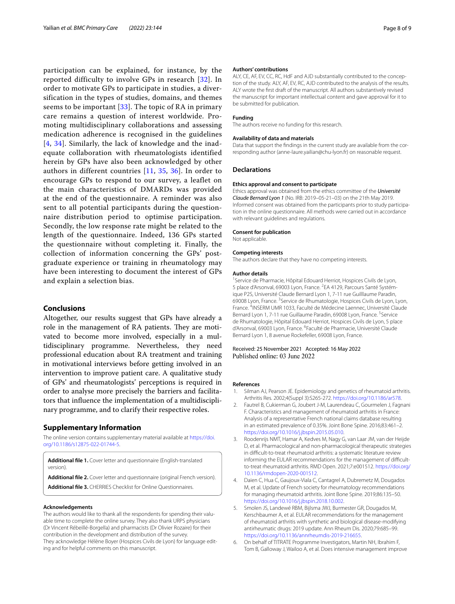participation can be explained, for instance, by the reported difficulty to involve GPs in research [[32](#page-8-25)]. In order to motivate GPs to participate in studies, a diversification in the types of studies, domains, and themes seems to be important [\[33\]](#page-8-26). The topic of RA in primary care remains a question of interest worldwide. Promoting multidisciplinary collaborations and assessing medication adherence is recognised in the guidelines [[4](#page-7-3), [34](#page-8-27)]. Similarly, the lack of knowledge and the inadequate collaboration with rheumatologists identified herein by GPs have also been acknowledged by other authors in different countries [\[11](#page-8-4), [35](#page-8-28), [36\]](#page-8-29). In order to encourage GPs to respond to our survey, a leaflet on the main characteristics of DMARDs was provided at the end of the questionnaire. A reminder was also sent to all potential participants during the questionnaire distribution period to optimise participation. Secondly, the low response rate might be related to the length of the questionnaire. Indeed, 136 GPs started the questionnaire without completing it. Finally, the collection of information concerning the GPs' postgraduate experience or training in rheumatology may have been interesting to document the interest of GPs and explain a selection bias.

# **Conclusions**

Altogether, our results suggest that GPs have already a role in the management of RA patients. They are motivated to become more involved, especially in a multidisciplinary programme. Nevertheless, they need professional education about RA treatment and training in motivational interviews before getting involved in an intervention to improve patient care. A qualitative study of GPs' and rheumatologists' perceptions is required in order to analyse more precisely the barriers and facilitators that infuence the implementation of a multidisciplinary programme, and to clarify their respective roles.

# **Supplementary Information**

The online version contains supplementary material available at [https://doi.](https://doi.org/10.1186/s12875-022-01744-5) [org/10.1186/s12875-022-01744-5](https://doi.org/10.1186/s12875-022-01744-5).

<span id="page-7-7"></span><span id="page-7-6"></span>**Additional fle 1.** Cover letter and questionnaire (English-translated version).

<span id="page-7-8"></span>**Additional fle 2.** Cover letter and questionnaire (original French version). **Additional fle 3.** CHERRIES Checklist for Online Questionnaires.

#### **Acknowledgements**

The authors would like to thank all the respondents for spending their valuable time to complete the online survey. They also thank URPS physicians (Dr Vincent Rébeillé-Borgella) and pharmacists (Dr Olivier Rozaire) for their contribution in the development and distribution of the survey. They acknowledge Hélène Boyer (Hospices Civils de Lyon) for language editing and for helpful comments on this manuscript.

#### **Authors' contributions**

ALY, CE, AF, EV, CC, RC, HdF and AJD substantially contributed to the conception of the study. ALY, AF, EV, RC, AJD contributed to the analysis of the results. ALY wrote the frst draft of the manuscript. All authors substantively revised the manuscript for important intellectual content and gave approval for it to be submitted for publication.

#### **Funding**

The authors receive no funding for this research.

#### **Availability of data and materials**

Data that support the findings in the current study are available from the corresponding author (anne-laure.yailian@chu-lyon.fr) on reasonable request.

#### **Declarations**

#### **Ethics approval and consent to participate**

Ethics approval was obtained from the ethics committee of the *Université Claude Bernard Lyon 1* (No. IRB: 2019–05-21–03) on the 21th May 2019. Informed consent was obtained from the participants prior to study participation in the online questionnaire. All methods were carried out in accordance with relevant guidelines and regulations.

#### **Consent for publication**

Not applicable.

#### **Competing interests**

The authors declare that they have no competing interests.

#### **Author details**

<sup>1</sup> Service de Pharmacie, Hôpital Edouard Herriot, Hospices Civils de Lyon, 5 place d'Arsonval, 69003 Lyon, France. <sup>2</sup>EA 4129, Parcours Santé Systémique P2S, Université Claude Bernard Lyon 1, 7‑11 rue Guilllaume Paradin, 69008 Lyon, France. <sup>3</sup> Service de Rhumatologie, Hospices Civils de Lyon, Lyon, France.<sup>4</sup>INSERM UMR 1033, Faculté de Médecine Laennec, Université Claude Bernard Lyon 1, 7-11 rue Guillaume Paradin, 69008 Lyon, France. <sup>5</sup>Service de Rhumatologie, Hôpital Edouard Herriot, Hospices Civils de Lyon, 5 place d'Arsonval, 69003 Lyon, France. <sup>6</sup> Faculté de Pharmacie, Université Claude Bernard Lyon 1, 8 avenue Rockefeller, 69008 Lyon, France.

Received: 25 November 2021 Accepted: 16 May 2022 Published online: 03 June 2022

#### **References**

- <span id="page-7-0"></span>1. Silman AJ, Pearson JE. Epidemiology and genetics of rheumatoid arthritis. Arthritis Res. 2002;4(Suppl 3):S265-272. [https://doi.org/10.1186/ar578.](https://doi.org/10.1186/ar578)
- <span id="page-7-1"></span>2. Fautrel B, Cukierman G, Joubert J-M, Laurendeau C, Gourmelen J, Fagnani F. Characteristics and management of rheumatoid arthritis in France: Analysis of a representative French national claims database resulting in an estimated prevalence of 0.35%. Joint Bone Spine. 2016;83:461–2. [https://doi.org/10.1016/j.jbspin.2015.05.010.](https://doi.org/10.1016/j.jbspin.2015.05.010)
- <span id="page-7-2"></span>3. Roodenrijs NMT, Hamar A, Kedves M, Nagy G, van Laar JM, van der Heijde D, et al. Pharmacological and non-pharmacological therapeutic strategies in difficult-to-treat rheumatoid arthritis: a systematic literature review informing the EULAR recommendations for the management of difficultto-treat rheumatoid arthritis. RMD Open. 2021;7:e001512. [https://doi.org/](https://doi.org/10.1136/rmdopen-2020-001512) [10.1136/rmdopen-2020-001512.](https://doi.org/10.1136/rmdopen-2020-001512)
- <span id="page-7-3"></span>4. Daien C, Hua C, Gaujoux-Viala C, Cantagrel A, Dubremetz M, Dougados M, et al. Update of French society for rheumatology recommendations for managing rheumatoid arthritis. Joint Bone Spine. 2019;86:135–50. [https://doi.org/10.1016/j.jbspin.2018.10.002.](https://doi.org/10.1016/j.jbspin.2018.10.002)
- <span id="page-7-4"></span>5. Smolen JS, Landewé RBM, Bijlsma JWJ, Burmester GR, Dougados M, Kerschbaumer A, et al. EULAR recommendations for the management of rheumatoid arthritis with synthetic and biological disease-modifying antirheumatic drugs: 2019 update. Ann Rheum Dis. 2020;79:685–99. [https://doi.org/10.1136/annrheumdis-2019-216655.](https://doi.org/10.1136/annrheumdis-2019-216655)
- <span id="page-7-5"></span>6. On behalf of TITRATE Programme Investigators, Martin NH, Ibrahim F, Tom B, Galloway J, Wailoo A, et al. Does intensive management improve